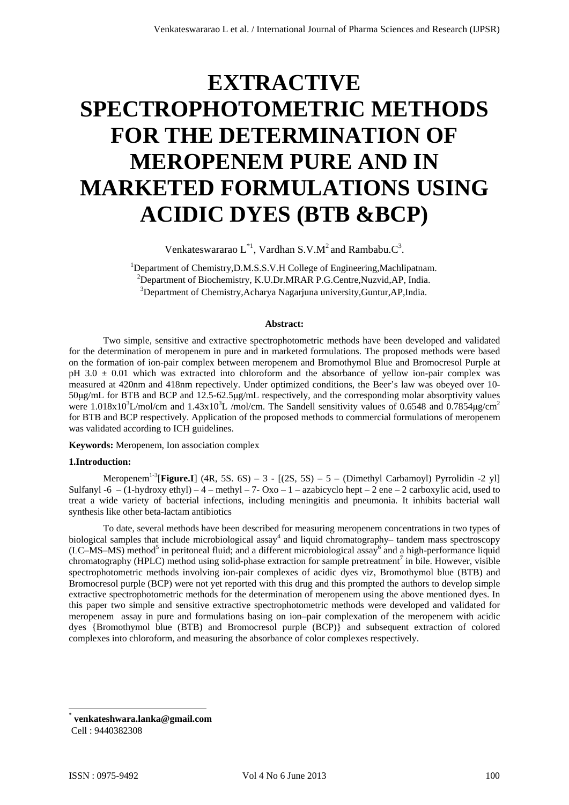# **EXTRACTIVE SPECTROPHOTOMETRIC METHODS FOR THE DETERMINATION OF MEROPENEM PURE AND IN MARKETED FORMULATIONS USING ACIDIC DYES (BTB &BCP)**

Venkateswararao  $L^{*1}$ , Vardhan S.V.M<sup>2</sup> and Rambabu. $C^3$ .

<sup>1</sup>Department of Chemistry, D.M.S.S.V.H College of Engineering, Machlipatnam. <sup>2</sup>Department of Biochemistry, K.U.Dr.MRAR P.G.Centre, Nuzvid, AP, India. <sup>3</sup>Department of Chemistry, Acharya Nagarjuna university, Guntur, AP, India.

#### **Abstract:**

Two simple, sensitive and extractive spectrophotometric methods have been developed and validated for the determination of meropenem in pure and in marketed formulations. The proposed methods were based on the formation of ion-pair complex between meropenem and Bromothymol Blue and Bromocresol Purple at pH 3.0  $\pm$  0.01 which was extracted into chloroform and the absorbance of yellow ion-pair complex was measured at 420nm and 418nm repectively. Under optimized conditions, the Beer's law was obeyed over 10- 50μg/mL for BTB and BCP and 12.5-62.5μg/mL respectively, and the corresponding molar absorptivity values were 1.018x10<sup>3</sup>L/mol/cm and 1.43x10<sup>3</sup>L /mol/cm. The Sandell sensitivity values of 0.6548 and 0.7854µg/cm<sup>2</sup> for BTB and BCP respectively. Application of the proposed methods to commercial formulations of meropenem was validated according to ICH guidelines.

## **Keywords:** Meropenem, Ion association complex

#### **1.Introduction:**

Meropenem<sup>1-3</sup>[**Figure.I**] (4R, 5S. 6S) – 3 - [(2S, 5S) – 5 – (Dimethyl Carbamoyl) Pyrrolidin -2 yl] Sulfanyl -6 – (1-hydroxy ethyl) – 4 – methyl – 7- Oxo – 1 – azabicyclo hept – 2 ene – 2 carboxylic acid, used to treat a wide variety of bacterial infections, including meningitis and pneumonia. It inhibits bacterial wall synthesis like other beta-lactam antibiotics

To date, several methods have been described for measuring meropenem concentrations in two types of biological samples that include microbiological assay<sup>4</sup> and liquid chromatography– tandem mass spectroscopy  $(LC-MS-MS)$  method<sup>5</sup> in peritoneal fluid; and a different microbiological assay<sup>6</sup> and a high-performance liquid chromatography (HPLC) method using solid-phase extraction for sample pretreatment<sup>7</sup> in bile. However, visible spectrophotometric methods involving ion-pair complexes of acidic dyes viz, Bromothymol blue (BTB) and Bromocresol purple (BCP) were not yet reported with this drug and this prompted the authors to develop simple extractive spectrophotometric methods for the determination of meropenem using the above mentioned dyes. In this paper two simple and sensitive extractive spectrophotometric methods were developed and validated for meropenem assay in pure and formulations basing on ion–pair complexation of the meropenem with acidic dyes {Bromothymol blue (BTB) and Bromocresol purple (BCP)} and subsequent extraction of colored complexes into chloroform, and measuring the absorbance of color complexes respectively.

 \* **venkateshwara.lanka@gmail.com**

Cell : 9440382308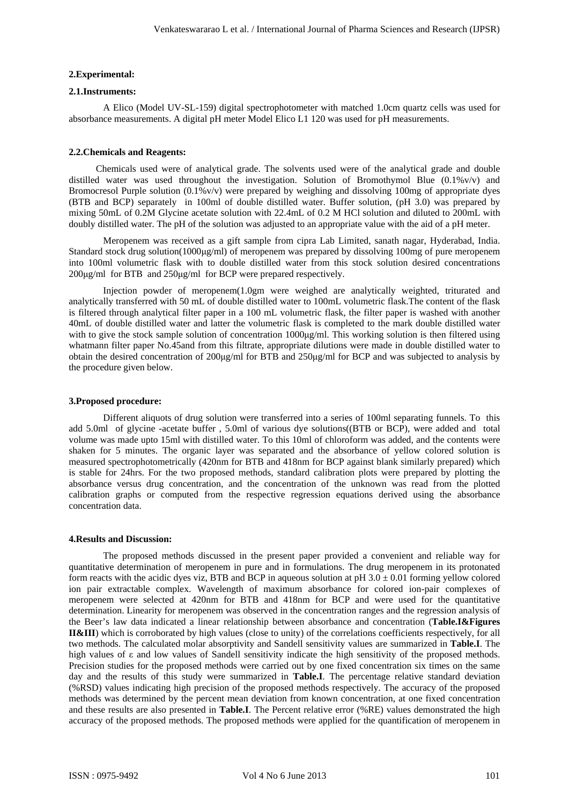### **2.Experimental:**

### **2.1.Instruments:**

A Elico (Model UV-SL-159) digital spectrophotometer with matched 1.0cm quartz cells was used for absorbance measurements. A digital pH meter Model Elico L1 120 was used for pH measurements.

#### **2.2.Chemicals and Reagents:**

Chemicals used were of analytical grade. The solvents used were of the analytical grade and double distilled water was used throughout the investigation. Solution of Bromothymol Blue (0.1%v/v) and Bromocresol Purple solution  $(0.1\%v/v)$  were prepared by weighing and dissolving 100mg of appropriate dyes (BTB and BCP) separately in 100ml of double distilled water. Buffer solution, (pH 3.0) was prepared by mixing 50mL of 0.2M Glycine acetate solution with 22.4mL of 0.2 M HCl solution and diluted to 200mL with doubly distilled water. The pH of the solution was adjusted to an appropriate value with the aid of a pH meter.

Meropenem was received as a gift sample from cipra Lab Limited, sanath nagar, Hyderabad, India. Standard stock drug solution(1000μg/ml) of meropenem was prepared by dissolving 100mg of pure meropenem into 100ml volumetric flask with to double distilled water from this stock solution desired concentrations 200μg/ml for BTB and 250μg/ml for BCP were prepared respectively.

Injection powder of meropenem(1.0gm were weighed are analytically weighted, triturated and analytically transferred with 50 mL of double distilled water to 100mL volumetric flask.The content of the flask is filtered through analytical filter paper in a 100 mL volumetric flask, the filter paper is washed with another 40mL of double distilled water and latter the volumetric flask is completed to the mark double distilled water with to give the stock sample solution of concentration 1000μg/ml. This working solution is then filtered using whatmann filter paper No.45and from this filtrate, appropriate dilutions were made in double distilled water to obtain the desired concentration of 200μg/ml for BTB and 250μg/ml for BCP and was subjected to analysis by the procedure given below.

## **3.Proposed procedure:**

Different aliquots of drug solution were transferred into a series of 100ml separating funnels. To this add 5.0ml of glycine -acetate buffer , 5.0ml of various dye solutions((BTB or BCP), were added and total volume was made upto 15ml with distilled water. To this 10ml of chloroform was added, and the contents were shaken for 5 minutes. The organic layer was separated and the absorbance of yellow colored solution is measured spectrophotometrically (420nm for BTB and 418nm for BCP against blank similarly prepared) which is stable for 24hrs. For the two proposed methods, standard calibration plots were prepared by plotting the absorbance versus drug concentration, and the concentration of the unknown was read from the plotted calibration graphs or computed from the respective regression equations derived using the absorbance concentration data.

## **4.Results and Discussion:**

The proposed methods discussed in the present paper provided a convenient and reliable way for quantitative determination of meropenem in pure and in formulations. The drug meropenem in its protonated form reacts with the acidic dyes viz, BTB and BCP in aqueous solution at pH  $3.0 \pm 0.01$  forming yellow colored ion pair extractable complex. Wavelength of maximum absorbance for colored ion-pair complexes of meropenem were selected at 420nm for BTB and 418nm for BCP and were used for the quantitative determination. Linearity for meropenem was observed in the concentration ranges and the regression analysis of the Beer's law data indicated a linear relationship between absorbance and concentration (**Table.I&Figures II&III**) which is corroborated by high values (close to unity) of the correlations coefficients respectively, for all two methods. The calculated molar absorptivity and Sandell sensitivity values are summarized in **Table.I**. The high values of ε and low values of Sandell sensitivity indicate the high sensitivity of the proposed methods. Precision studies for the proposed methods were carried out by one fixed concentration six times on the same day and the results of this study were summarized in **Table.I**. The percentage relative standard deviation (%RSD) values indicating high precision of the proposed methods respectively. The accuracy of the proposed methods was determined by the percent mean deviation from known concentration, at one fixed concentration and these results are also presented in **Table.I**. The Percent relative error (%RE) values demonstrated the high accuracy of the proposed methods. The proposed methods were applied for the quantification of meropenem in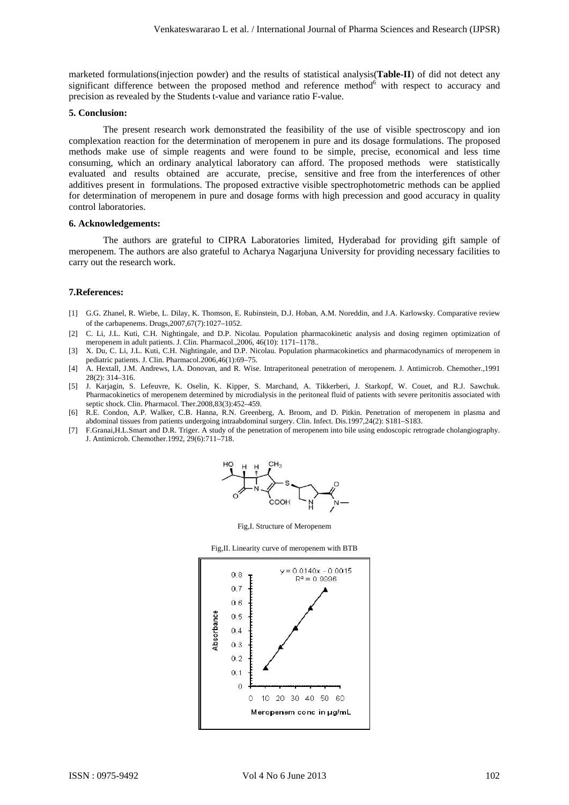marketed formulations(injection powder) and the results of statistical analysis(**Table-II**) of did not detect any significant difference between the proposed method and reference method<sup>6</sup> with respect to accuracy and precision as revealed by the Students t-value and variance ratio F-value.

### **5. Conclusion:**

The present research work demonstrated the feasibility of the use of visible spectroscopy and ion complexation reaction for the determination of meropenem in pure and its dosage formulations. The proposed methods make use of simple reagents and were found to be simple, precise, economical and less time consuming, which an ordinary analytical laboratory can afford. The proposed methods were statistically evaluated and results obtained are accurate, precise, sensitive and free from the interferences of other additives present in formulations. The proposed extractive visible spectrophotometric methods can be applied for determination of meropenem in pure and dosage forms with high precession and good accuracy in quality control laboratories.

#### **6. Acknowledgements:**

The authors are grateful to CIPRA Laboratories limited, Hyderabad for providing gift sample of meropenem. The authors are also grateful to Acharya Nagarjuna University for providing necessary facilities to carry out the research work.

#### **7.References:**

- [1] G.G. Zhanel, R. Wiebe, L. Dilay, K. Thomson, E. Rubinstein, D.J. Hoban, A.M. Noreddin, and J.A. Karlowsky. Comparative review of the carbapenems. Drugs,2007,67(7):1027–1052.
- [2] C. Li, J.L. Kuti, C.H. Nightingale, and D.P. Nicolau. Population pharmacokinetic analysis and dosing regimen optimization of meropenem in adult patients. J. Clin. Pharmacol.,2006, 46(10): 1171–1178..
- [3] X. Du, C. Li, J.L. Kuti, C.H. Nightingale, and D.P. Nicolau. Population pharmacokinetics and pharmacodynamics of meropenem in pediatric patients. J. Clin. Pharmacol.2006,46(1):69–75.
- [4] A. Hextall, J.M. Andrews, I.A. Donovan, and R. Wise. Intraperitoneal penetration of meropenem. J. Antimicrob. Chemother.,1991 28(2): 314–316.
- [5] J. Karjagin, S. Lefeuvre, K. Oselin, K. Kipper, S. Marchand, A. Tikkerberi, J. Starkopf, W. Couet, and R.J. Sawchuk. Pharmacokinetics of meropenem determined by microdialysis in the peritoneal fluid of patients with severe peritonitis associated with septic shock. Clin. Pharmacol. Ther.2008,83(3):452–459.
- [6] R.E. Condon, A.P. Walker, C.B. Hanna, R.N. Greenberg, A. Broom, and D. Pitkin. Penetration of meropenem in plasma and abdominal tissues from patients undergoing intraabdominal surgery. Clin. Infect. Dis.1997,24(2): S181–S183.
- [7] F.Granai,H.L.Smart and D.R. Triger. A study of the penetration of meropenem into bile using endoscopic retrograde cholangiography. J. Antimicrob. Chemother.1992, 29(6):711–718.



Fig,I. Structure of Meropenem